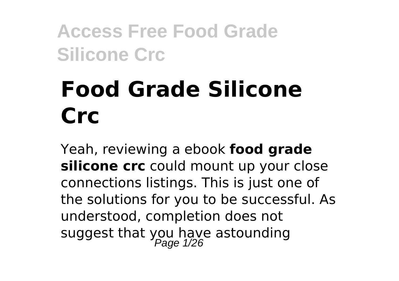# **Food Grade Silicone Crc**

Yeah, reviewing a ebook **food grade silicone crc** could mount up your close connections listings. This is just one of the solutions for you to be successful. As understood, completion does not suggest that you have astounding<br>Page 1/26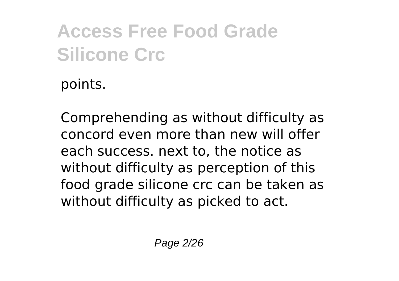points.

Comprehending as without difficulty as concord even more than new will offer each success. next to, the notice as without difficulty as perception of this food grade silicone crc can be taken as without difficulty as picked to act.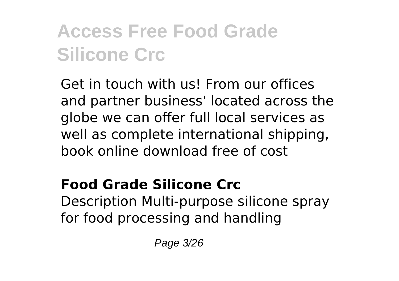Get in touch with us! From our offices and partner business' located across the globe we can offer full local services as well as complete international shipping, book online download free of cost

#### **Food Grade Silicone Crc**

Description Multi-purpose silicone spray for food processing and handling

Page 3/26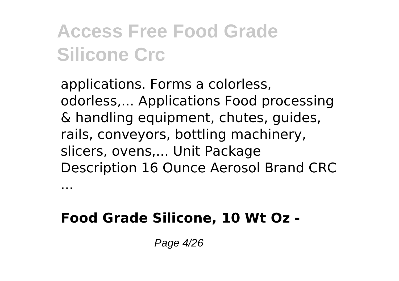applications. Forms a colorless, odorless,... Applications Food processing & handling equipment, chutes, guides, rails, conveyors, bottling machinery, slicers, ovens,... Unit Package Description 16 Ounce Aerosol Brand CRC

#### **Food Grade Silicone, 10 Wt Oz -**

...

Page 4/26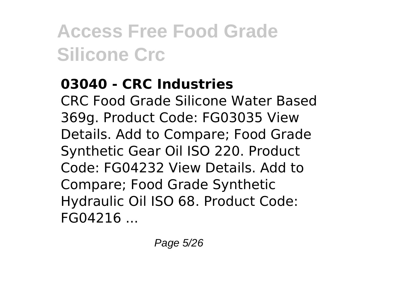#### **03040 - CRC Industries**

CRC Food Grade Silicone Water Based 369g. Product Code: FG03035 View Details. Add to Compare; Food Grade Synthetic Gear Oil ISO 220. Product Code: FG04232 View Details. Add to Compare; Food Grade Synthetic Hydraulic Oil ISO 68. Product Code: FG04216 ...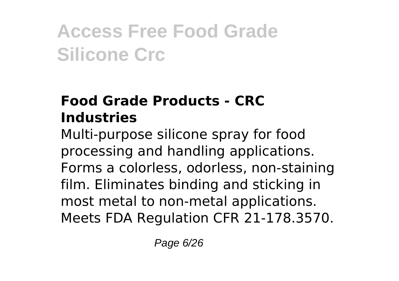#### **Food Grade Products - CRC Industries**

Multi-purpose silicone spray for food processing and handling applications. Forms a colorless, odorless, non-staining film. Eliminates binding and sticking in most metal to non-metal applications. Meets FDA Regulation CFR 21-178.3570.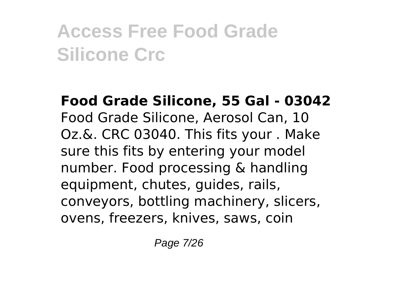**Food Grade Silicone, 55 Gal - 03042** Food Grade Silicone, Aerosol Can, 10 Oz.&. CRC 03040. This fits your . Make sure this fits by entering your model number. Food processing & handling equipment, chutes, guides, rails, conveyors, bottling machinery, slicers, ovens, freezers, knives, saws, coin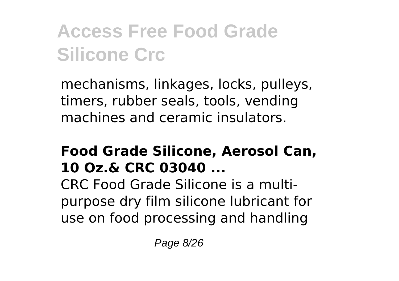mechanisms, linkages, locks, pulleys, timers, rubber seals, tools, vending machines and ceramic insulators.

#### **Food Grade Silicone, Aerosol Can, 10 Oz.& CRC 03040 ...**

CRC Food Grade Silicone is a multipurpose dry film silicone lubricant for use on food processing and handling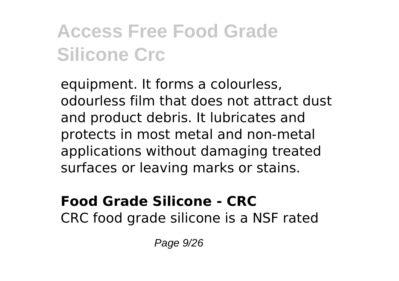equipment. It forms a colourless, odourless film that does not attract dust and product debris. It lubricates and protects in most metal and non-metal applications without damaging treated surfaces or leaving marks or stains.

#### **Food Grade Silicone - CRC** CRC food grade silicone is a NSF rated

Page 9/26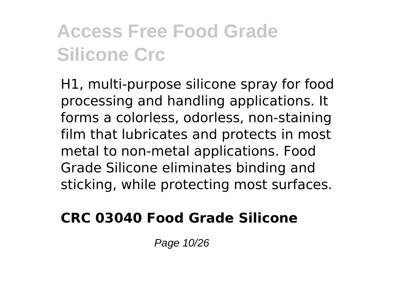H1, multi-purpose silicone spray for food processing and handling applications. It forms a colorless, odorless, non-staining film that lubricates and protects in most metal to non-metal applications. Food Grade Silicone eliminates binding and sticking, while protecting most surfaces.

#### **CRC 03040 Food Grade Silicone**

Page 10/26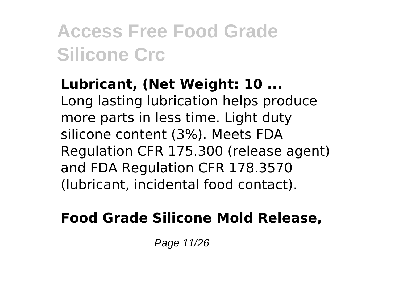**Lubricant, (Net Weight: 10 ...** Long lasting lubrication helps produce more parts in less time. Light duty silicone content (3%). Meets FDA Regulation CFR 175.300 (release agent) and FDA Regulation CFR 178.3570 (lubricant, incidental food contact).

#### **Food Grade Silicone Mold Release,**

Page 11/26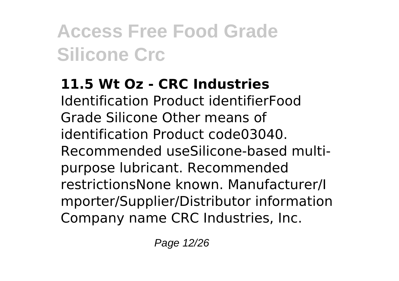#### **11.5 Wt Oz - CRC Industries**

Identification Product identifierFood Grade Silicone Other means of identification Product code03040. Recommended useSilicone-based multipurpose lubricant. Recommended restrictionsNone known. Manufacturer/I mporter/Supplier/Distributor information Company name CRC Industries, Inc.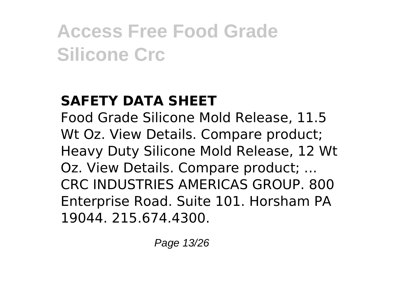#### **SAFETY DATA SHEET**

Food Grade Silicone Mold Release, 11.5 Wt Oz. View Details. Compare product; Heavy Duty Silicone Mold Release, 12 Wt Oz. View Details. Compare product; ... CRC INDUSTRIES AMERICAS GROUP. 800 Enterprise Road. Suite 101. Horsham PA 19044. 215.674.4300.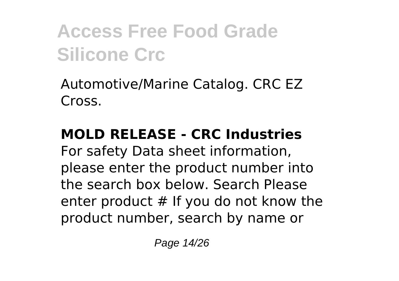Automotive/Marine Catalog. CRC EZ Cross.

#### **MOLD RELEASE - CRC Industries**

For safety Data sheet information, please enter the product number into the search box below. Search Please enter product # If you do not know the product number, search by name or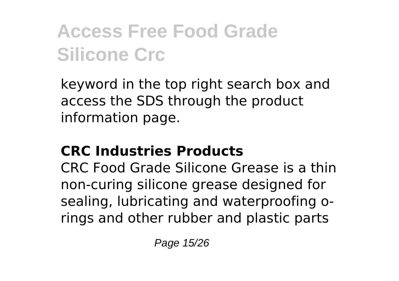keyword in the top right search box and access the SDS through the product information page.

#### **CRC Industries Products**

CRC Food Grade Silicone Grease is a thin non-curing silicone grease designed for sealing, lubricating and waterproofing orings and other rubber and plastic parts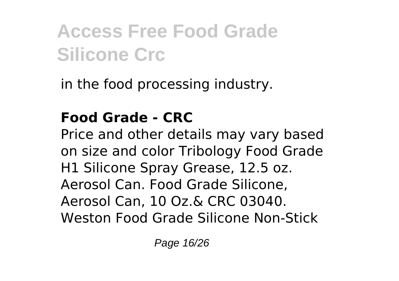in the food processing industry.

#### **Food Grade - CRC**

Price and other details may vary based on size and color Tribology Food Grade H1 Silicone Spray Grease, 12.5 oz. Aerosol Can. Food Grade Silicone, Aerosol Can, 10 Oz.& CRC 03040. Weston Food Grade Silicone Non-Stick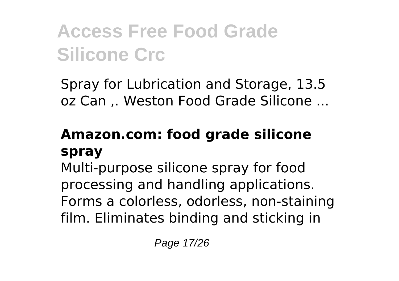Spray for Lubrication and Storage, 13.5 oz Can ,. Weston Food Grade Silicone ...

#### **Amazon.com: food grade silicone spray**

Multi-purpose silicone spray for food processing and handling applications. Forms a colorless, odorless, non-staining film. Eliminates binding and sticking in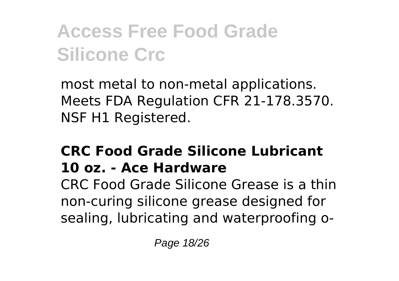most metal to non-metal applications. Meets FDA Regulation CFR 21-178.3570. NSF H1 Registered.

#### **CRC Food Grade Silicone Lubricant 10 oz. - Ace Hardware**

CRC Food Grade Silicone Grease is a thin non-curing silicone grease designed for sealing, lubricating and waterproofing o-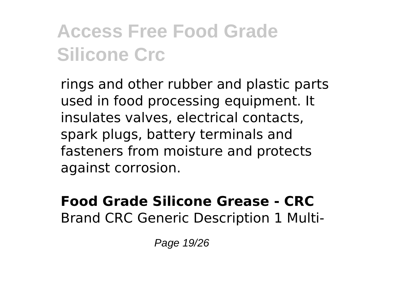rings and other rubber and plastic parts used in food processing equipment. It insulates valves, electrical contacts, spark plugs, battery terminals and fasteners from moisture and protects against corrosion.

#### **Food Grade Silicone Grease - CRC** Brand CRC Generic Description 1 Multi-

Page 19/26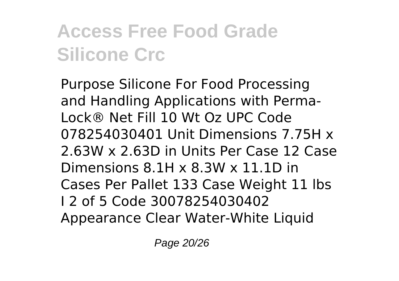Purpose Silicone For Food Processing and Handling Applications with Perma-Lock® Net Fill 10 Wt Oz UPC Code 078254030401 Unit Dimensions 7.75H x 2.63W x 2.63D in Units Per Case 12 Case Dimensions 8.1H x 8.3W x 11.1D in Cases Per Pallet 133 Case Weight 11 lbs I 2 of 5 Code 30078254030402 Appearance Clear Water-White Liquid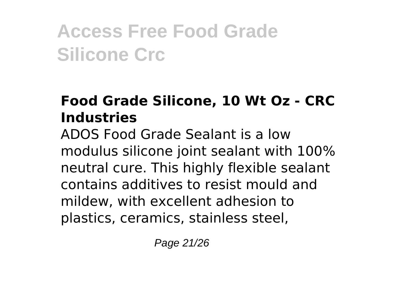#### **Food Grade Silicone, 10 Wt Oz - CRC Industries**

ADOS Food Grade Sealant is a low modulus silicone joint sealant with 100% neutral cure. This highly flexible sealant contains additives to resist mould and mildew, with excellent adhesion to plastics, ceramics, stainless steel,

Page 21/26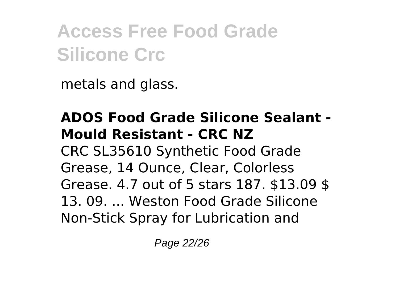metals and glass.

#### **ADOS Food Grade Silicone Sealant - Mould Resistant - CRC NZ** CRC SL35610 Synthetic Food Grade Grease, 14 Ounce, Clear, Colorless Grease. 4.7 out of 5 stars 187. \$13.09 \$ 13. 09. ... Weston Food Grade Silicone Non-Stick Spray for Lubrication and

Page 22/26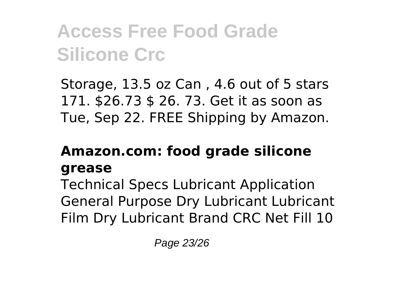Storage, 13.5 oz Can , 4.6 out of 5 stars 171. \$26.73 \$ 26. 73. Get it as soon as Tue, Sep 22. FREE Shipping by Amazon.

#### **Amazon.com: food grade silicone grease**

Technical Specs Lubricant Application General Purpose Dry Lubricant Lubricant Film Dry Lubricant Brand CRC Net Fill 10

Page 23/26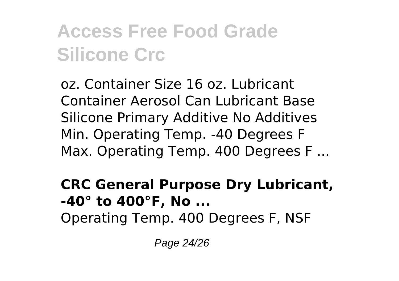oz. Container Size 16 oz. Lubricant Container Aerosol Can Lubricant Base Silicone Primary Additive No Additives Min. Operating Temp. -40 Degrees F Max. Operating Temp. 400 Degrees F ...

#### **CRC General Purpose Dry Lubricant, -40° to 400°F, No ...**

Operating Temp. 400 Degrees F, NSF

Page 24/26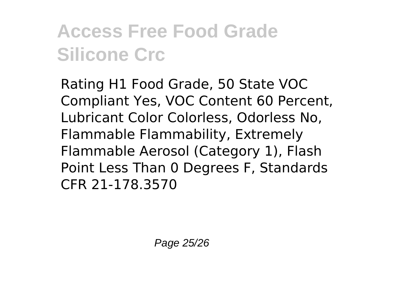Rating H1 Food Grade, 50 State VOC Compliant Yes, VOC Content 60 Percent, Lubricant Color Colorless, Odorless No, Flammable Flammability, Extremely Flammable Aerosol (Category 1), Flash Point Less Than 0 Degrees F, Standards CFR 21-178.3570